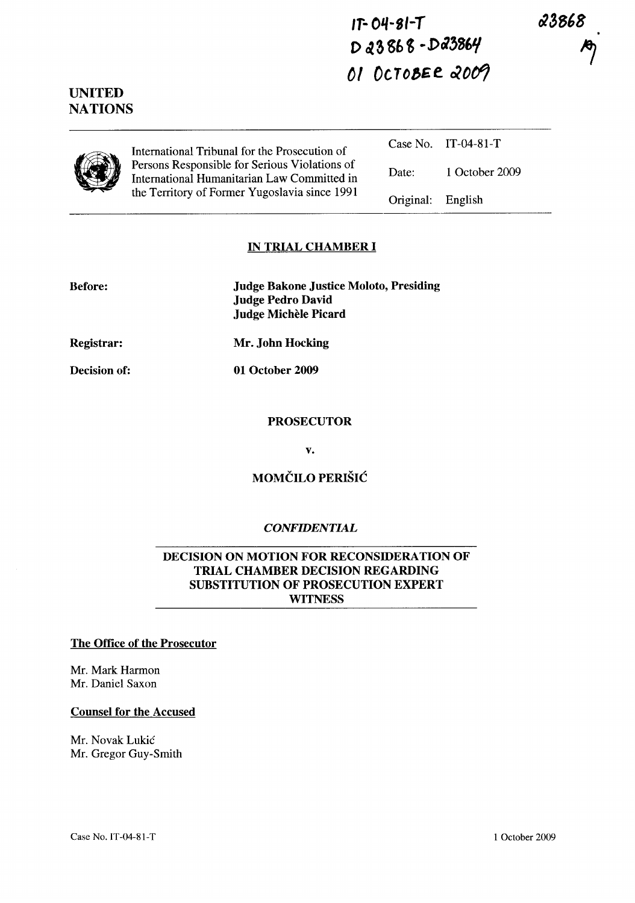23868

**IT- O'l-SI-T**  D 23868-D23864 01 OCTOBER 2009

**UNITED NATIONS** 

| International Tribunal for the Prosecution of                                                |                   | Case No. IT-04-81-T |
|----------------------------------------------------------------------------------------------|-------------------|---------------------|
| Persons Responsible for Serious Violations of<br>International Humanitarian Law Committed in | Date:             | 1 October 2009      |
| the Territory of Former Yugoslavia since 1991                                                | Original: English |                     |

#### **IN TRIAL CHAMBER I**

| <b>Before:</b> | <b>Judge Bakone Justice Moloto, Presiding</b><br><b>Judge Pedro David</b><br>Judge Michèle Picard |
|----------------|---------------------------------------------------------------------------------------------------|
| Registrar:     | Mr. John Hocking                                                                                  |

**01 October 2009** 

**Decision of:** 

#### **PROSECUTOR**

**v.** 

## **MOMCILO PERISIC**

### *CONFIDENTIAL*

### **DECISION ON MOTION FOR RECONSIDERATION OF TRIAL CHAMBER DECISION REGARDING SUBSTITUTION OF PROSECUTION EXPERT WITNESS**

#### **The Office of the Prosecutor**

Mr. Mark Harmon Mr. Daniel Saxon

### **Counsel for the Accused**

Mr. Novak Lukic Mr. Gregor Guy-Smith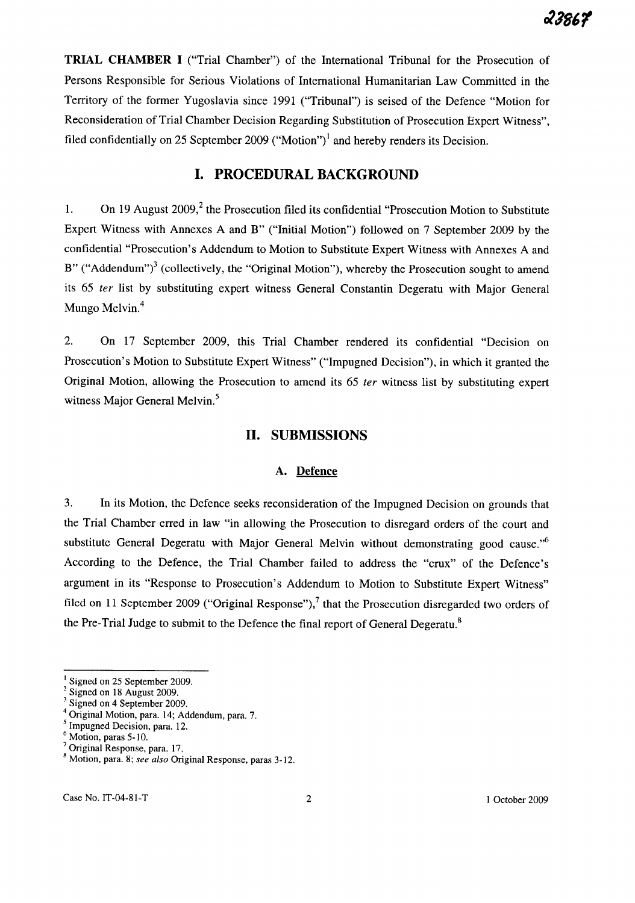TRIAL CHAMBER I ("Trial Chamber") of the International Tribunal for the Prosecution of Persons Responsible for Serious Violations of International Humanitarian Law Committed in the Territory of the former Yugoslavia since 1991 ("Tribunal") is seised of the Defence "Motion for Reconsideration of Trial Chamber Decision Regarding Substitution of Prosecution Expert Witness", filed confidentially on 25 September 2009 ("Motion")<sup>1</sup> and hereby renders its Decision.

# I. PROCEDURAL BACKGROUND

1. On 19 August  $2009$ ,<sup>2</sup> the Prosecution filed its confidential "Prosecution Motion to Substitute Expert Witness with Annexes A and B" ("Initial Motion") followed on 7 September 2009 by the confidential "Prosecution's Addendum to Motion to Substitute Expert Witness with Annexes A and B" ("Addendum")<sup>3</sup> (collectively, the "Original Motion"), whereby the Prosecution sought to amend its 65 *ter* list by substituting expert witness General Constantin Degeratu with Major General Mungo Melvin.<sup>4</sup>

2. On 17 September 2009, this Trial Chamber rendered its confidential "Decision on Prosecution's Motion to Substitute Expert Witness" ("Impugned Decision"), in which it granted the Original Motion, allowing the Prosecution to amend its 65 *ter* witness list by substituting expert witness Major General Melvin.<sup>5</sup>

## 11. SUBMISSIONS

### A. Defence

3. In its Motion, the Defence seeks reconsideration of the Impugned Decision on grounds that the Trial Chamber erred in law "in allowing the Prosecution to disregard orders of the court and substitute General Degeratu with Major General Melvin without demonstrating good cause."<sup>6</sup> According to the Defence, the Trial Chamber failed to address the "crux" of the Defence's argument in its "Response to Prosecution's Addendum to Motion to Substitute Expert Witness" filed on 11 September 2009 ("Original Response"),<sup>7</sup> that the Prosecution disregarded two orders of the Pre-Trial Judge to submit to the Defence the final report of General Degeratu.<sup>8</sup>

Case No. IT-04-81-T 2 1 October 2009

Signed on 25 September 2009.

 $2$  Signed on 18 August 2009.

<sup>&</sup>lt;sup>3</sup> Signed on 4 September 2009.

<sup>4</sup> Original Motion, para. 14; Addendum, para. 7.

<sup>&</sup>lt;sup>5</sup> Impugned Decision, para. 12.

<sup>6</sup> Motion, paras 5-10.

<sup>7</sup>Original Response, para. 17.

<sup>8</sup> Motion, para. 8; *see also* Original Response, paras 3-12.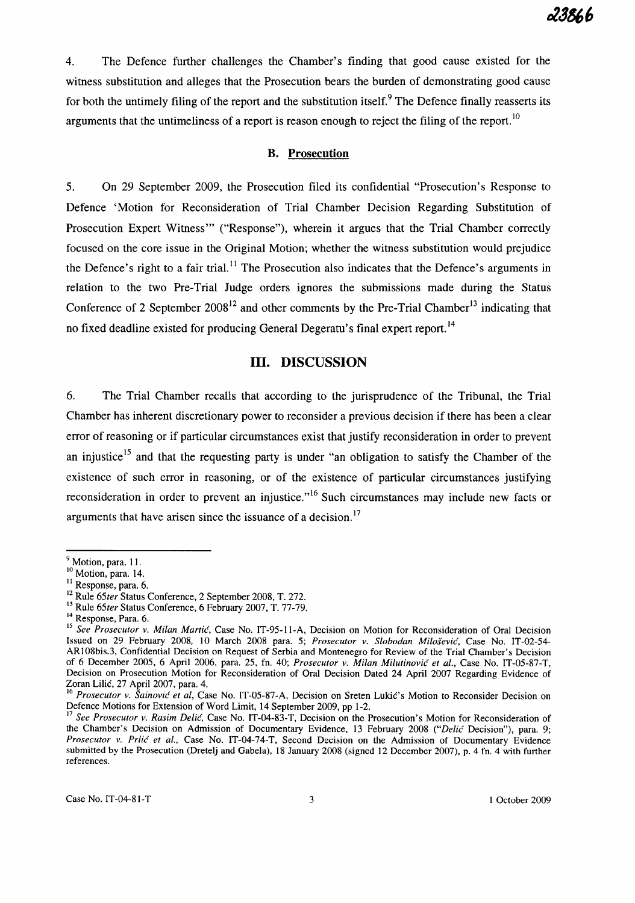4. The Defence further challenges the Chamber's finding that good cause existed for the witness substitution and alleges that the Prosecution bears the burden of demonstrating good cause for both the untimely filing of the report and the substitution itself.<sup>9</sup> The Defence finally reasserts its arguments that the untimeliness of a report is reason enough to reject the filing of the report.<sup>10</sup>

### **B. Prosecution**

5. On 29 September 2009, the Prosecution filed its confidential "Prosecution's Response to Defence 'Motion for Reconsideration of Trial Chamber Decision Regarding Substitution of Prosecution Expert Witness'" ("Response"), wherein it argues that the Trial Chamber correctly focused on the core issue in the Original Motion; whether the witness substitution would prejudice the Defence's right to a fair trial.<sup>11</sup> The Prosecution also indicates that the Defence's arguments in relation to the two Pre-Trial Judge orders ignores the submissions made during the Status Conference of 2 September  $2008^{12}$  and other comments by the Pre-Trial Chamber<sup>13</sup> indicating that no fixed deadline existed for producing General Degeratu's final expert report.<sup>14</sup>

## **Ill. DISCUSSION**

6. The Trial Chamber recalls that according to the jurisprudence of the Tribunal, the Trial Chamber has inherent discretionary power to reconsider a previous decision if there has been a clear error of reasoning or if particular circumstances exist that justify reconsideration in order to prevent an injustice<sup>15</sup> and that the requesting party is under "an obligation to satisfy the Chamber of the existence of such error in reasoning, or of the existence of particular circumstances justifying reconsideration in order to prevent an injustice."<sup>16</sup> Such circumstances may include new facts or arguments that have arisen since the issuance of a decision.<sup>17</sup>

<sup>&</sup>lt;sup>9</sup> Motion, para. 11.

<sup>&</sup>lt;sup>10</sup> Motion, para. 14.

<sup>11</sup> Response, para. 6.

<sup>12</sup> Rule *65ter* Status Conference, 2 September 2008, T. 272.

<sup>&</sup>lt;sup>13</sup> Rule 65ter Status Conference, 6 February 2007, T. 77-79.

<sup>&</sup>lt;sup>14</sup> Response, Para. 6.

<sup>15</sup>*See Prosecutor v. Milan Martic,* Case No. IT-95-11-A, Decision on Motion for Reconsideration of Oral Decision Issued on 29 February 2008. 10 March 200S para. 5; *Prosecutor v. Slobodan Milosevic,* Case No. IT-02-54- ARIOSbis.3, Confidential Decision on Request of Serbia and Montenegro for Review of the Trial Chamber's Decision of 6 December 2005, 6 April 2006, para. 25, fn. 40; *Prosecutor v. Milan Milutinovic et al.,* Case No. IT-05-S7-T, Decision on Prosecution Motion for Reconsideration of Oral Decision Dated 24 April 2007 Regarding Evidence of Zoran Lilic, 27 April 2007, para. 4.

<sup>&</sup>lt;sup>16</sup> Prosecutor v. Šainović et al, Case No. IT-05-87-A, Decision on Sreten Lukić's Motion to Reconsider Decision on Defence Motions for Extension of Word Limit, 14 September 2009, pp 1-2.

<sup>17</sup>*See Prosecutor v. Rasim Delic.* Case No. IT-04-83-T, Decision on the Prosecution's Motion for Reconsideration of the Chamber's Decision on Admission of Documentary Evidence, 13 February 2008 *("Delic Decision")*, para. 9; Prosecutor v. Prlic et al., Case No. IT-04-74-T, Second Decision on the Admission of Documentary Evidence submitted by the Prosecution (Dretelj and Gabela), IS January 200S (signed 12 December 2007), p. 4 fn. 4 with further references.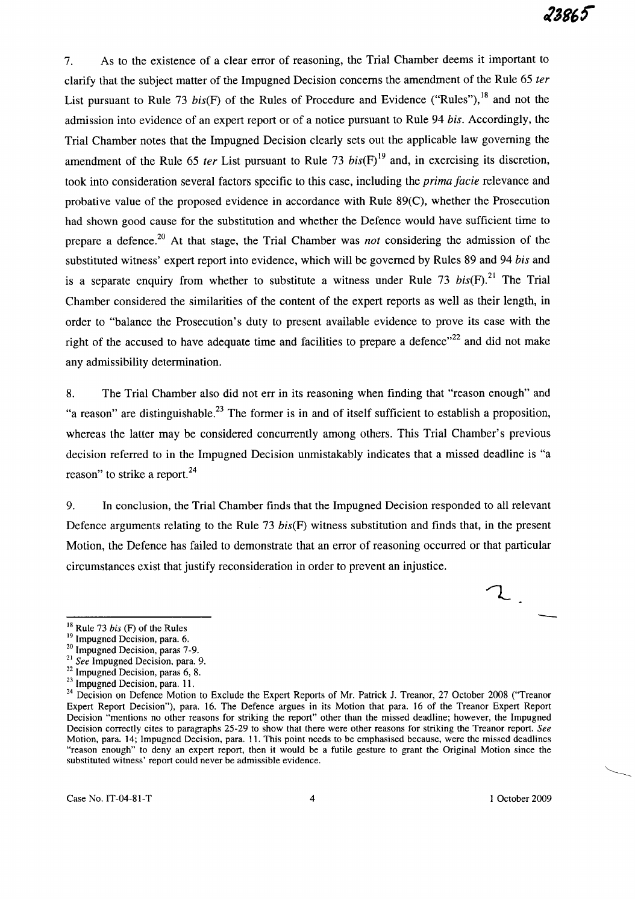7. As to the existence of a clear error of reasoning, the Trial Chamber deems it important to clarify that the subject matter of the Impugned Decision concerns the amendment of the Rule 65 ter List pursuant to Rule 73 bis(F) of the Rules of Procedure and Evidence ("Rules"), <sup>18</sup> and not the admission into evidence of an expert report or of a notice pursuant to Rule 94 bis. Accordingly, the Trial Chamber notes that the Impugned Decision clearly sets out the applicable law governing the amendment of the Rule 65 ter List pursuant to Rule 73  $bis(F)^{19}$  and, in exercising its discretion, took into consideration several factors specific to this case, including the *prima facie* relevance and probative value of the proposed evidence in accordance with Rule 89(C), whether the Prosecution had shown good cause for the substitution and whether the Defence would have sufficient time to prepare a defence.<sup>20</sup> At that stage, the Trial Chamber was *not* considering the admission of the substituted witness' expert report into evidence, which will be governed by Rules 89 and 94 bis and is a separate enquiry from whether to substitute a witness under Rule 73  $bis(F)$ .<sup>21</sup> The Trial Chamber considered the similarities of the content of the expert reports as well as their length, in order to "balance the Prosecution's duty to present available evidence to prove its case with the right of the accused to have adequate time and facilities to prepare a defence $n^{22}$  and did not make any admissibility determination.

8. The Trial Chamber also did not err in its reasoning when finding that "reason enough" and "a reason" are distinguishable.<sup>23</sup> The former is in and of itself sufficient to establish a proposition, whereas the latter may be considered concurrently among others. This Trial Chamber's previous decision referred to in the Impugned Decision unmistakably indicates that a missed deadline is "a reason" to strike a report.<sup>24</sup>

9. In conclusion, the Trial Chamber finds that the Impugned Decision responded to all relevant Defence arguments relating to the Rule 73 bis(F) witness substitution and finds that, in the present Motion, the Defence has failed to demonstrate that an error of reasoning occurred or that particular circumstances exist that justify reconsideration in order to prevent an injustice.

<sup>19</sup> Impugned Decision, para. 6.

- <sup>21</sup>*See* Impugned Decision, para. 9.
- <sup>22</sup> Impugned Decision, paras 6, 8.
- <sup>23</sup> Impugned Decision, para. 11.

-

 $\mathcal{L}_{\mathcal{L}}$ 

<sup>18</sup> Rule 73 *his* (F) of the Rules

<sup>&</sup>lt;sup>20</sup> Impugned Decision, paras 7-9.

<sup>&</sup>lt;sup>24</sup> Decision on Defence Motion to Exclude the Expert Reports of Mr. Patrick J. Treanor, 27 October 2008 ("Treanor Expert Report Decision"), para. 16. The Defence argues in its Motion that para. 16 of the Treanor Expert Report Decision "mentions no other reasons for striking the report" other than the missed deadline; however, the Impugned Decision correctly cites to paragraphs 25-29 to show that there were other reasons for striking the Treanor report. *See*  Motion, para. 14; Impugned Decision, para. 11. This point needs to be emphasised because, were the missed deadlines "reason enough" to deny an expert report, then it would be a futile gesture to grant the Original Motion since the substituted witness' report could never be admissible evidence.